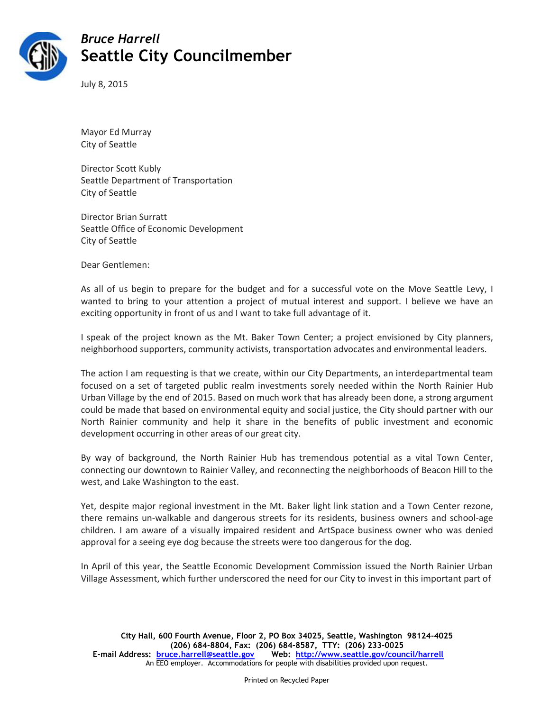

## *Bruce Harrell* **Seattle City Councilmember**

July 8, 2015

Mayor Ed Murray City of Seattle

Director Scott Kubly Seattle Department of Transportation City of Seattle

Director Brian Surratt Seattle Office of Economic Development City of Seattle

Dear Gentlemen:

As all of us begin to prepare for the budget and for a successful vote on the Move Seattle Levy, I wanted to bring to your attention a project of mutual interest and support. I believe we have an exciting opportunity in front of us and I want to take full advantage of it.

I speak of the project known as the Mt. Baker Town Center; a project envisioned by City planners, neighborhood supporters, community activists, transportation advocates and environmental leaders.

The action I am requesting is that we create, within our City Departments, an interdepartmental team focused on a set of targeted public realm investments sorely needed within the North Rainier Hub Urban Village by the end of 2015. Based on much work that has already been done, a strong argument could be made that based on environmental equity and social justice, the City should partner with our North Rainier community and help it share in the benefits of public investment and economic development occurring in other areas of our great city.

By way of background, the North Rainier Hub has tremendous potential as a vital Town Center, connecting our downtown to Rainier Valley, and reconnecting the neighborhoods of Beacon Hill to the west, and Lake Washington to the east.

Yet, despite major regional investment in the Mt. Baker light link station and a Town Center rezone, there remains un-walkable and dangerous streets for its residents, business owners and school-age children. I am aware of a visually impaired resident and ArtSpace business owner who was denied approval for a seeing eye dog because the streets were too dangerous for the dog.

In April of this year, the Seattle Economic Development Commission issued the North Rainier Urban Village Assessment, which further underscored the need for our City to invest in this important part of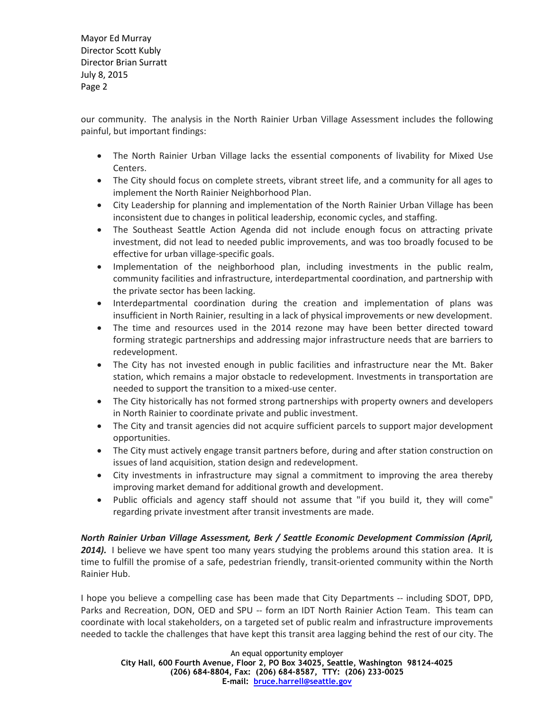Mayor Ed Murray Director Scott Kubly Director Brian Surratt July 8, 2015 Page 2

our community. The analysis in the North Rainier Urban Village Assessment includes the following painful, but important findings:

- The North Rainier Urban Village lacks the essential components of livability for Mixed Use Centers.
- The City should focus on complete streets, vibrant street life, and a community for all ages to implement the North Rainier Neighborhood Plan.
- City Leadership for planning and implementation of the North Rainier Urban Village has been inconsistent due to changes in political leadership, economic cycles, and staffing.
- The Southeast Seattle Action Agenda did not include enough focus on attracting private investment, did not lead to needed public improvements, and was too broadly focused to be effective for urban village-specific goals.
- Implementation of the neighborhood plan, including investments in the public realm, community facilities and infrastructure, interdepartmental coordination, and partnership with the private sector has been lacking.
- Interdepartmental coordination during the creation and implementation of plans was insufficient in North Rainier, resulting in a lack of physical improvements or new development.
- The time and resources used in the 2014 rezone may have been better directed toward forming strategic partnerships and addressing major infrastructure needs that are barriers to redevelopment.
- The City has not invested enough in public facilities and infrastructure near the Mt. Baker station, which remains a major obstacle to redevelopment. Investments in transportation are needed to support the transition to a mixed-use center.
- The City historically has not formed strong partnerships with property owners and developers in North Rainier to coordinate private and public investment.
- The City and transit agencies did not acquire sufficient parcels to support major development opportunities.
- The City must actively engage transit partners before, during and after station construction on issues of land acquisition, station design and redevelopment.
- City investments in infrastructure may signal a commitment to improving the area thereby improving market demand for additional growth and development.
- Public officials and agency staff should not assume that "if you build it, they will come" regarding private investment after transit investments are made.

*North Rainier Urban Village Assessment, Berk / Seattle Economic Development Commission (April,*  2014). I believe we have spent too many years studying the problems around this station area. It is time to fulfill the promise of a safe, pedestrian friendly, transit-oriented community within the North Rainier Hub.

I hope you believe a compelling case has been made that City Departments -- including SDOT, DPD, Parks and Recreation, DON, OED and SPU -- form an IDT North Rainier Action Team. This team can coordinate with local stakeholders, on a targeted set of public realm and infrastructure improvements needed to tackle the challenges that have kept this transit area lagging behind the rest of our city. The

An equal opportunity employer

**City Hall, 600 Fourth Avenue, Floor 2, PO Box 34025, Seattle, Washington 98124-4025 (206) 684-8804, Fax: (206) 684-8587, TTY: (206) 233-0025 E-mail: [bruce.harrell@seattle.gov](mailto:bruce.harrell@seattle.gov)**